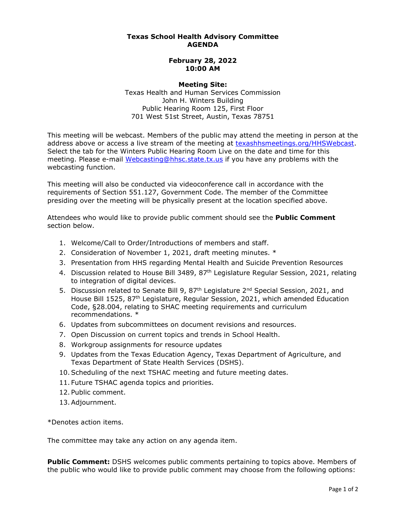## **Texas School Health Advisory Committee AGENDA**

## **February 28, 2022 10:00 AM**

## **Meeting Site:**

 Texas Health and Human Services Commission John H. Winters Building Public Hearing Room 125, First Floor 701 West 51st Street, Austin, Texas 78751

 This meeting will be webcast. Members of the public may attend the meeting in person at the address above or access a live stream of the meeting at **texashhsmeetings.org/HHSWebcast**. Select the tab for the Winters Public Hearing Room Live on the date and time for this meeting. Please e-mail <u>Webcasting@hhsc.state.tx.us</u> if you have any problems with the webcasting function.

 This meeting will also be conducted via videoconference call in accordance with the requirements of Section 551.127, Government Code. The member of the Committee presiding over the meeting will be physically present at the location specified above.

 Attendees who would like to provide public comment should see the **Public Comment**  section below.

- 1. Welcome/Call to Order/Introductions of members and staff.
- 2. Consideration of November 1, 2021, draft meeting minutes. \*
- 3. Presentation from HHS regarding Mental Health and Suicide Prevention Resources
- 4. Discussion related to House Bill 3489, 87<sup>th</sup> Legislature Regular Session, 2021, relating to integration of digital devices.
- 5. Discussion related to Senate Bill 9, 87<sup>th</sup> Legislature 2<sup>nd</sup> Special Session, 2021, and House Bill 1525, 87th Legislature, Regular Session, 2021, which amended Education Code, §28.004, relating to SHAC meeting requirements and curriculum recommendations. \*
- 6. Updates from subcommittees on document revisions and resources.
- 7. Open Discussion on current topics and trends in School Health.
- 8. Workgroup assignments for resource updates
- 9. Updates from the Texas Education Agency, Texas Department of Agriculture, and Texas Department of State Health Services (DSHS).
- 10.Scheduling of the next TSHAC meeting and future meeting dates.
- 11. Future TSHAC agenda topics and priorities.
- 12. Public comment.
- 13.Adjournment.

\*Denotes action items.

The committee may take any action on any agenda item.

 **Public Comment:** DSHS welcomes public comments pertaining to topics above. Members of the public who would like to provide public comment may choose from the following options: